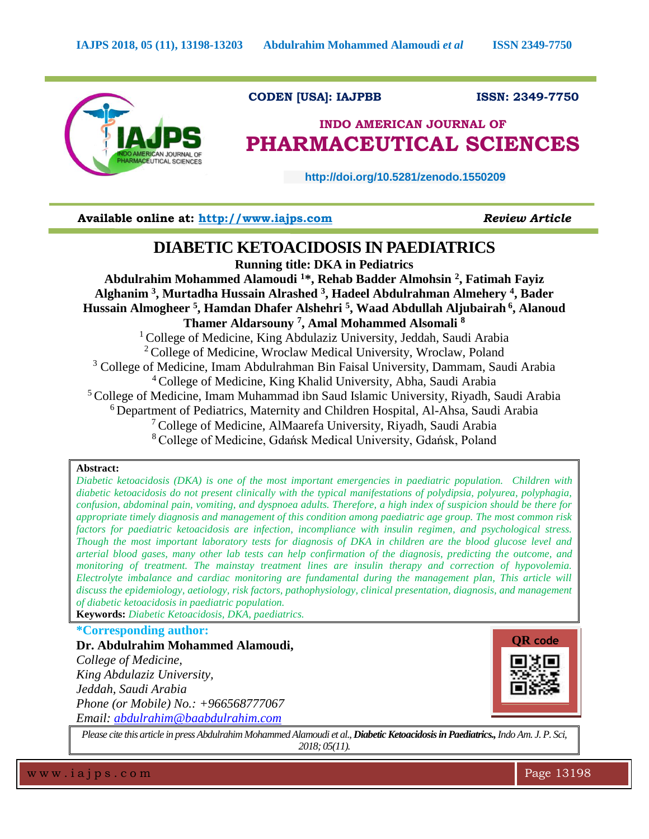

 **CODEN [USA]: IAJPBB ISSN: 2349-7750**

# **INDO AMERICAN JOURNAL OF PHARMACEUTICAL SCIENCES**

 **http://doi.org/10.5281/zenodo.1550209** 

**Available online at: [http://www.iajps.com](http://www.iajps.com/)** *Review Article*

## **DIABETIC KETOACIDOSIS IN PAEDIATRICS**

**Running title: DKA in Pediatrics** 

**Abdulrahim Mohammed Alamoudi <sup>1</sup>\*, Rehab Badder Almohsin <sup>2</sup> , Fatimah Fayiz Alghanim <sup>3</sup> , Murtadha Hussain Alrashed <sup>3</sup> , Hadeel Abdulrahman Almehery <sup>4</sup> , Bader Hussain Almogheer <sup>5</sup> , Hamdan Dhafer Alshehri <sup>5</sup> , Waad Abdullah Aljubairah <sup>6</sup> , Alanoud Thamer Aldarsouny <sup>7</sup> , Amal Mohammed Alsomali <sup>8</sup>** <sup>1</sup> College of Medicine, King Abdulaziz University, Jeddah, Saudi Arabia <sup>2</sup> College of Medicine, Wroclaw Medical University, Wroclaw, Poland <sup>3</sup> College of Medicine, Imam Abdulrahman Bin Faisal University, Dammam, Saudi Arabia <sup>4</sup>College of Medicine, King Khalid University, Abha, Saudi Arabia <sup>5</sup> College of Medicine, Imam Muhammad ibn Saud Islamic University, Riyadh, Saudi Arabia  $6$  Department of Pediatrics, Maternity and Children Hospital, Al-Ahsa, Saudi Arabia <sup>7</sup>College of Medicine, AlMaarefa University, Riyadh, Saudi Arabia <sup>8</sup>College of Medicine, Gdańsk Medical University, Gdańsk, Poland

#### **Abstract:**

*Diabetic ketoacidosis (DKA) is one of the most important emergencies in paediatric population. Children with diabetic ketoacidosis do not present clinically with the typical manifestations of polydipsia, polyurea, polyphagia, confusion, abdominal pain, vomiting, and dyspnoea adults. Therefore, a high index of suspicion should be there for appropriate timely diagnosis and management of this condition among paediatric age group. The most common risk factors for paediatric ketoacidosis are infection, incompliance with insulin regimen, and psychological stress. Though the most important laboratory tests for diagnosis of DKA in children are the blood glucose level and arterial blood gases, many other lab tests can help confirmation of the diagnosis, predicting the outcome, and monitoring of treatment. The mainstay treatment lines are insulin therapy and correction of hypovolemia. Electrolyte imbalance and cardiac monitoring are fundamental during the management plan, This article will discuss the epidemiology, aetiology, risk factors, pathophysiology, clinical presentation, diagnosis, and management of diabetic ketoacidosis in paediatric population.* 

**Keywords:** *Diabetic Ketoacidosis, DKA, paediatrics.*

### **\*Corresponding author:**

**Dr. Abdulrahim Mohammed Alamoudi,** *College of Medicine, King Abdulaziz University, Jeddah, Saudi Arabia Phone (or Mobile) No.: +966568777067 Email: [abdulrahim@baabdulrahim.com](mailto:abdulrahim@baabdulrahim.com)*



*Please cite this article in press Abdulrahim Mohammed Alamoudi et al., Diabetic Ketoacidosis in Paediatrics.,Indo Am. J. P. Sci, 2018; 05(11).*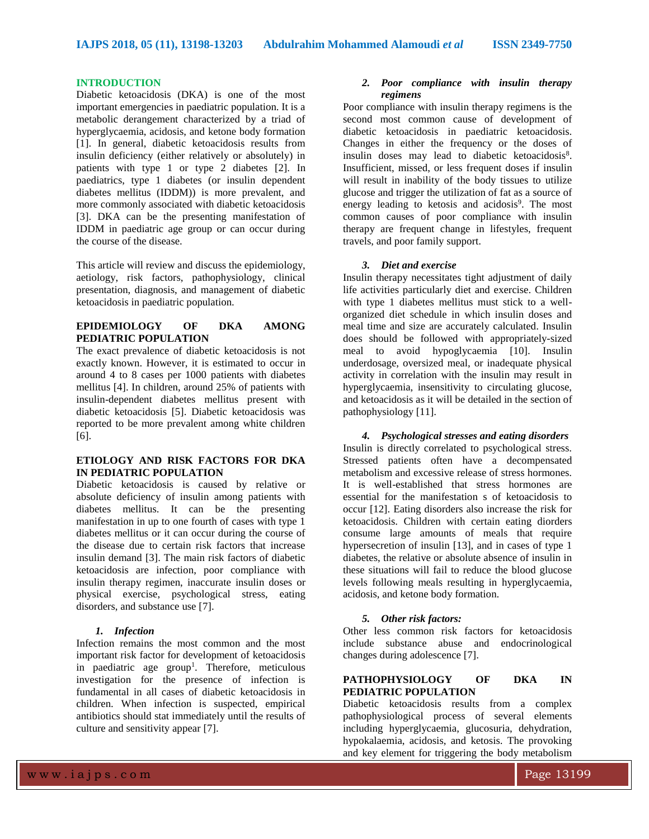#### **INTRODUCTION**

Diabetic ketoacidosis (DKA) is one of the most important emergencies in paediatric population. It is a metabolic derangement characterized by a triad of hyperglycaemia, acidosis, and ketone body formation [1]. In general, diabetic ketoacidosis results from insulin deficiency (either relatively or absolutely) in patients with type 1 or type 2 diabetes [2]. In paediatrics, type 1 diabetes (or insulin dependent diabetes mellitus (IDDM)) is more prevalent, and more commonly associated with diabetic ketoacidosis [3]. DKA can be the presenting manifestation of IDDM in paediatric age group or can occur during the course of the disease.

This article will review and discuss the epidemiology, aetiology, risk factors, pathophysiology, clinical presentation, diagnosis, and management of diabetic ketoacidosis in paediatric population.

#### **EPIDEMIOLOGY OF DKA AMONG PEDIATRIC POPULATION**

The exact prevalence of diabetic ketoacidosis is not exactly known. However, it is estimated to occur in around 4 to 8 cases per 1000 patients with diabetes mellitus [4]. In children, around 25% of patients with insulin-dependent diabetes mellitus present with diabetic ketoacidosis [5]. Diabetic ketoacidosis was reported to be more prevalent among white children [6].

#### **ETIOLOGY AND RISK FACTORS FOR DKA IN PEDIATRIC POPULATION**

Diabetic ketoacidosis is caused by relative or absolute deficiency of insulin among patients with diabetes mellitus. It can be the presenting manifestation in up to one fourth of cases with type 1 diabetes mellitus or it can occur during the course of the disease due to certain risk factors that increase insulin demand [3]. The main risk factors of diabetic ketoacidosis are infection, poor compliance with insulin therapy regimen, inaccurate insulin doses or physical exercise, psychological stress, eating disorders, and substance use [7].

#### *1. Infection*

Infection remains the most common and the most important risk factor for development of ketoacidosis in paediatric age group<sup>1</sup>. Therefore, meticulous investigation for the presence of infection is fundamental in all cases of diabetic ketoacidosis in children. When infection is suspected, empirical antibiotics should stat immediately until the results of culture and sensitivity appear [7].

#### *2. Poor compliance with insulin therapy regimens*

Poor compliance with insulin therapy regimens is the second most common cause of development of diabetic ketoacidosis in paediatric ketoacidosis. Changes in either the frequency or the doses of insulin doses may lead to diabetic ketoacidosis<sup>8</sup>. Insufficient, missed, or less frequent doses if insulin will result in inability of the body tissues to utilize glucose and trigger the utilization of fat as a source of energy leading to ketosis and acidosis<sup>9</sup>. The most common causes of poor compliance with insulin therapy are frequent change in lifestyles, frequent travels, and poor family support.

#### *3. Diet and exercise*

Insulin therapy necessitates tight adjustment of daily life activities particularly diet and exercise. Children with type 1 diabetes mellitus must stick to a wellorganized diet schedule in which insulin doses and meal time and size are accurately calculated. Insulin does should be followed with appropriately-sized meal to avoid hypoglycaemia [10]. Insulin underdosage, oversized meal, or inadequate physical activity in correlation with the insulin may result in hyperglycaemia, insensitivity to circulating glucose, and ketoacidosis as it will be detailed in the section of pathophysiology [11].

#### *4. Psychological stresses and eating disorders*

Insulin is directly correlated to psychological stress. Stressed patients often have a decompensated metabolism and excessive release of stress hormones. It is well-established that stress hormones are essential for the manifestation s of ketoacidosis to occur [12]. Eating disorders also increase the risk for ketoacidosis. Children with certain eating diorders consume large amounts of meals that require hypersecretion of insulin [13], and in cases of type 1 diabetes, the relative or absolute absence of insulin in these situations will fail to reduce the blood glucose levels following meals resulting in hyperglycaemia, acidosis, and ketone body formation.

#### *5. Other risk factors:*

Other less common risk factors for ketoacidosis include substance abuse and endocrinological changes during adolescence [7].

#### **PATHOPHYSIOLOGY OF DKA IN PEDIATRIC POPULATION**

Diabetic ketoacidosis results from a complex pathophysiological process of several elements including hyperglycaemia, glucosuria, dehydration, hypokalaemia, acidosis, and ketosis. The provoking and key element for triggering the body metabolism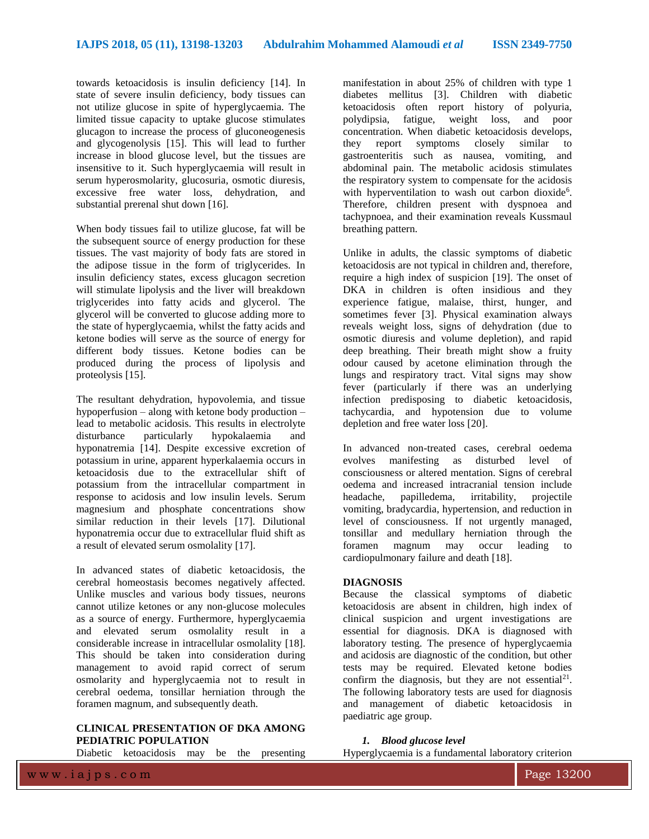towards ketoacidosis is insulin deficiency [14]. In state of severe insulin deficiency, body tissues can not utilize glucose in spite of hyperglycaemia. The limited tissue capacity to uptake glucose stimulates glucagon to increase the process of gluconeogenesis and glycogenolysis [15]. This will lead to further increase in blood glucose level, but the tissues are insensitive to it. Such hyperglycaemia will result in serum hyperosmolarity, glucosuria, osmotic diuresis, excessive free water loss, dehydration, and substantial prerenal shut down [16].

When body tissues fail to utilize glucose, fat will be the subsequent source of energy production for these tissues. The vast majority of body fats are stored in the adipose tissue in the form of triglycerides. In insulin deficiency states, excess glucagon secretion will stimulate lipolysis and the liver will breakdown triglycerides into fatty acids and glycerol. The glycerol will be converted to glucose adding more to the state of hyperglycaemia, whilst the fatty acids and ketone bodies will serve as the source of energy for different body tissues. Ketone bodies can be produced during the process of lipolysis and proteolysis [15].

The resultant dehydration, hypovolemia, and tissue hypoperfusion – along with ketone body production – lead to metabolic acidosis. This results in electrolyte disturbance particularly hypokalaemia and hyponatremia [14]. Despite excessive excretion of potassium in urine, apparent hyperkalaemia occurs in ketoacidosis due to the extracellular shift of potassium from the intracellular compartment in response to acidosis and low insulin levels. Serum magnesium and phosphate concentrations show similar reduction in their levels [17]. Dilutional hyponatremia occur due to extracellular fluid shift as a result of elevated serum osmolality [17].

In advanced states of diabetic ketoacidosis, the cerebral homeostasis becomes negatively affected. Unlike muscles and various body tissues, neurons cannot utilize ketones or any non-glucose molecules as a source of energy. Furthermore, hyperglycaemia and elevated serum osmolality result in a considerable increase in intracellular osmolality [18]. This should be taken into consideration during management to avoid rapid correct of serum osmolarity and hyperglycaemia not to result in cerebral oedema, tonsillar herniation through the foramen magnum, and subsequently death.

#### **CLINICAL PRESENTATION OF DKA AMONG PEDIATRIC POPULATION**

Diabetic ketoacidosis may be the presenting

manifestation in about 25% of children with type 1 diabetes mellitus [3]. Children with diabetic ketoacidosis often report history of polyuria, polydipsia, fatigue, weight loss, and poor concentration. When diabetic ketoacidosis develops, they report symptoms closely similar to gastroenteritis such as nausea, vomiting, and abdominal pain. The metabolic acidosis stimulates the respiratory system to compensate for the acidosis with hyperventilation to wash out carbon dioxide<sup>6</sup>. Therefore, children present with dyspnoea and tachypnoea, and their examination reveals Kussmaul breathing pattern.

Unlike in adults, the classic symptoms of diabetic ketoacidosis are not typical in children and, therefore, require a high index of suspicion [19]. The onset of DKA in children is often insidious and they experience fatigue, malaise, thirst, hunger, and sometimes fever [3]. Physical examination always reveals weight loss, signs of dehydration (due to osmotic diuresis and volume depletion), and rapid deep breathing. Their breath might show a fruity odour caused by acetone elimination through the lungs and respiratory tract. Vital signs may show fever (particularly if there was an underlying infection predisposing to diabetic ketoacidosis, tachycardia, and hypotension due to volume depletion and free water loss [20].

In advanced non-treated cases, cerebral oedema evolves manifesting as disturbed level of consciousness or altered mentation. Signs of cerebral oedema and increased intracranial tension include headache, papilledema, irritability, projectile vomiting, bradycardia, hypertension, and reduction in level of consciousness. If not urgently managed, tonsillar and medullary herniation through the foramen magnum may occur leading to cardiopulmonary failure and death [18].

#### **DIAGNOSIS**

Because the classical symptoms of diabetic ketoacidosis are absent in children, high index of clinical suspicion and urgent investigations are essential for diagnosis. DKA is diagnosed with laboratory testing. The presence of hyperglycaemia and acidosis are diagnostic of the condition, but other tests may be required. Elevated ketone bodies confirm the diagnosis, but they are not essential<sup>21</sup>. The following laboratory tests are used for diagnosis and management of diabetic ketoacidosis in paediatric age group.

*1. Blood glucose level* Hyperglycaemia is a fundamental laboratory criterion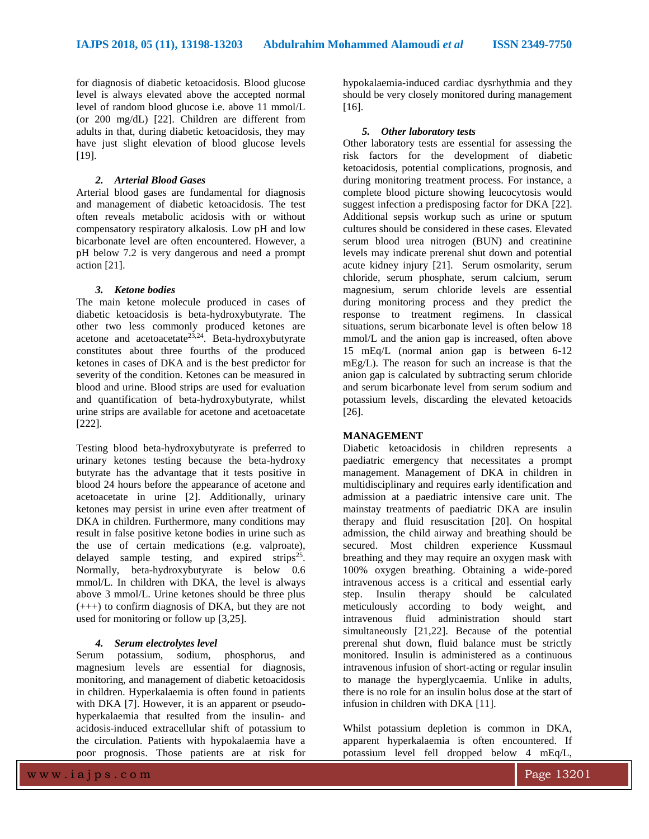for diagnosis of diabetic ketoacidosis. Blood glucose level is always elevated above the accepted normal level of random blood glucose i.e. above 11 mmol/L (or 200 mg/dL) [22]. Children are different from adults in that, during diabetic ketoacidosis, they may have just slight elevation of blood glucose levels [19].

#### *2. Arterial Blood Gases*

Arterial blood gases are fundamental for diagnosis and management of diabetic ketoacidosis. The test often reveals metabolic acidosis with or without compensatory respiratory alkalosis. Low pH and low bicarbonate level are often encountered. However, a pH below 7.2 is very dangerous and need a prompt action [21].

#### *3. Ketone bodies*

The main ketone molecule produced in cases of diabetic ketoacidosis is beta-hydroxybutyrate. The other two less commonly produced ketones are acetone and acetoacetate<sup>23,24</sup>. Beta-hydroxybutyrate constitutes about three fourths of the produced ketones in cases of DKA and is the best predictor for severity of the condition. Ketones can be measured in blood and urine. Blood strips are used for evaluation and quantification of beta-hydroxybutyrate, whilst urine strips are available for acetone and acetoacetate [222].

Testing blood beta-hydroxybutyrate is preferred to urinary ketones testing because the beta-hydroxy butyrate has the advantage that it tests positive in blood 24 hours before the appearance of acetone and acetoacetate in urine [2]. Additionally, urinary ketones may persist in urine even after treatment of DKA in children. Furthermore, many conditions may result in false positive ketone bodies in urine such as the use of certain medications (e.g. valproate), delayed sample testing, and expired strips<sup>25</sup>. Normally, beta-hydroxybutyrate is below 0.6 mmol/L. In children with DKA, the level is always above 3 mmol/L. Urine ketones should be three plus (+++) to confirm diagnosis of DKA, but they are not used for monitoring or follow up [3,25].

#### *4. Serum electrolytes level*

Serum potassium, sodium, phosphorus, and magnesium levels are essential for diagnosis, monitoring, and management of diabetic ketoacidosis in children. Hyperkalaemia is often found in patients with DKA [7]. However, it is an apparent or pseudohyperkalaemia that resulted from the insulin- and acidosis-induced extracellular shift of potassium to the circulation. Patients with hypokalaemia have a poor prognosis. Those patients are at risk for hypokalaemia-induced cardiac dysrhythmia and they should be very closely monitored during management [16].

#### *5. Other laboratory tests*

Other laboratory tests are essential for assessing the risk factors for the development of diabetic ketoacidosis, potential complications, prognosis, and during monitoring treatment process. For instance, a complete blood picture showing leucocytosis would suggest infection a predisposing factor for DKA [22]. Additional sepsis workup such as urine or sputum cultures should be considered in these cases. Elevated serum blood urea nitrogen (BUN) and creatinine levels may indicate prerenal shut down and potential acute kidney injury [21]. Serum osmolarity, serum chloride, serum phosphate, serum calcium, serum magnesium, serum chloride levels are essential during monitoring process and they predict the response to treatment regimens. In classical situations, serum bicarbonate level is often below 18 mmol/L and the anion gap is increased, often above 15 mEq/L (normal anion gap is between 6-12 mEg/L). The reason for such an increase is that the anion gap is calculated by subtracting serum chloride and serum bicarbonate level from serum sodium and potassium levels, discarding the elevated ketoacids [26].

#### **MANAGEMENT**

Diabetic ketoacidosis in children represents a paediatric emergency that necessitates a prompt management. Management of DKA in children in multidisciplinary and requires early identification and admission at a paediatric intensive care unit. The mainstay treatments of paediatric DKA are insulin therapy and fluid resuscitation [20]. On hospital admission, the child airway and breathing should be secured. Most children experience Kussmaul breathing and they may require an oxygen mask with 100% oxygen breathing. Obtaining a wide-pored intravenous access is a critical and essential early step. Insulin therapy should be calculated meticulously according to body weight, and intravenous fluid administration should start simultaneously [21,22]. Because of the potential prerenal shut down, fluid balance must be strictly monitored. Insulin is administered as a continuous intravenous infusion of short-acting or regular insulin to manage the hyperglycaemia. Unlike in adults, there is no role for an insulin bolus dose at the start of infusion in children with DKA [11].

Whilst potassium depletion is common in DKA, apparent hyperkalaemia is often encountered. If potassium level fell dropped below 4 mEq/L,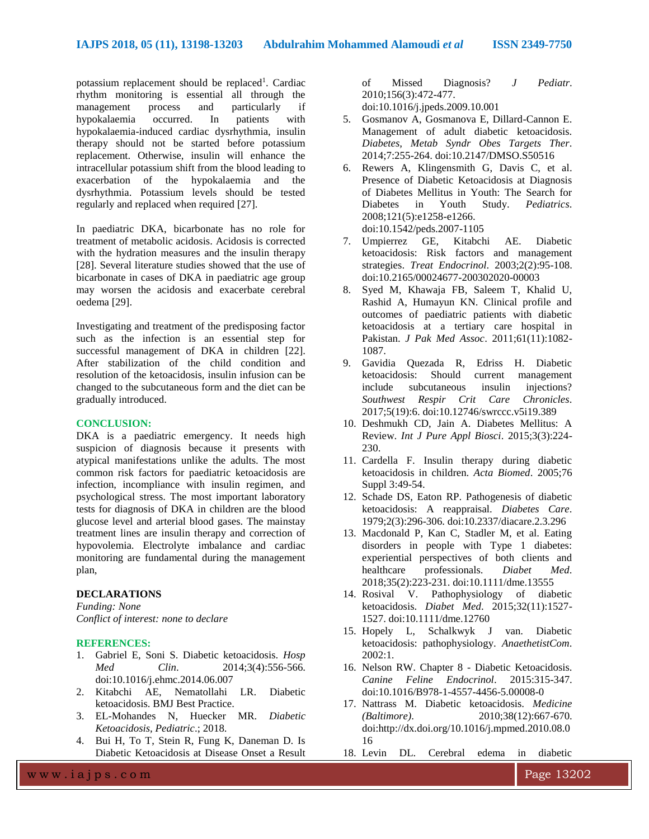potassium replacement should be replaced<sup>1</sup>. Cardiac rhythm monitoring is essential all through the management process and particularly if hypokalaemia occurred. In patients with hypokalaemia-induced cardiac dysrhythmia, insulin therapy should not be started before potassium replacement. Otherwise, insulin will enhance the intracellular potassium shift from the blood leading to exacerbation of the hypokalaemia and the dysrhythmia. Potassium levels should be tested regularly and replaced when required [27].

In paediatric DKA, bicarbonate has no role for treatment of metabolic acidosis. Acidosis is corrected with the hydration measures and the insulin therapy [28]. Several literature studies showed that the use of bicarbonate in cases of DKA in paediatric age group may worsen the acidosis and exacerbate cerebral oedema [29].

Investigating and treatment of the predisposing factor such as the infection is an essential step for successful management of DKA in children [22]. After stabilization of the child condition and resolution of the ketoacidosis, insulin infusion can be changed to the subcutaneous form and the diet can be gradually introduced.

#### **CONCLUSION:**

DKA is a paediatric emergency. It needs high suspicion of diagnosis because it presents with atypical manifestations unlike the adults. The most common risk factors for paediatric ketoacidosis are infection, incompliance with insulin regimen, and psychological stress. The most important laboratory tests for diagnosis of DKA in children are the blood glucose level and arterial blood gases. The mainstay treatment lines are insulin therapy and correction of hypovolemia. Electrolyte imbalance and cardiac monitoring are fundamental during the management plan,

#### **DECLARATIONS**

*Funding: None Conflict of interest: none to declare*

#### **REFERENCES:**

- 1. Gabriel E, Soni S. Diabetic ketoacidosis. *Hosp Med Clin*. 2014;3(4):556-566. doi:10.1016/j.ehmc.2014.06.007
- 2. Kitabchi AE, Nematollahi LR. Diabetic ketoacidosis. BMJ Best Practice.
- 3. EL-Mohandes N, Huecker MR. *Diabetic Ketoacidosis, Pediatric*.; 2018.
- 4. Bui H, To T, Stein R, Fung K, Daneman D. Is Diabetic Ketoacidosis at Disease Onset a Result

of Missed Diagnosis? *J Pediatr*. 2010;156(3):472-477. doi:10.1016/j.jpeds.2009.10.001

- 5. Gosmanov A, Gosmanova E, Dillard-Cannon E. Management of adult diabetic ketoacidosis. *Diabetes, Metab Syndr Obes Targets Ther*. 2014;7:255-264. doi:10.2147/DMSO.S50516
- 6. Rewers A, Klingensmith G, Davis C, et al. Presence of Diabetic Ketoacidosis at Diagnosis of Diabetes Mellitus in Youth: The Search for Diabetes in Youth Study. *Pediatrics*. 2008;121(5):e1258-e1266. doi:10.1542/peds.2007-1105
- 7. Umpierrez GE, Kitabchi AE. Diabetic ketoacidosis: Risk factors and management strategies. *Treat Endocrinol*. 2003;2(2):95-108. doi:10.2165/00024677-200302020-00003
- 8. Syed M, Khawaja FB, Saleem T, Khalid U, Rashid A, Humayun KN. Clinical profile and outcomes of paediatric patients with diabetic ketoacidosis at a tertiary care hospital in Pakistan. *J Pak Med Assoc*. 2011;61(11):1082- 1087.
- 9. Gavidia Quezada R, Edriss H. Diabetic ketoacidosis: Should current management include subcutaneous insulin injections? *Southwest Respir Crit Care Chronicles*. 2017;5(19):6. doi:10.12746/swrccc.v5i19.389
- 10. Deshmukh CD, Jain A. Diabetes Mellitus: A Review. *Int J Pure Appl Biosci*. 2015;3(3):224- 230.
- 11. Cardella F. Insulin therapy during diabetic ketoacidosis in children. *Acta Biomed*. 2005;76 Suppl 3:49-54.
- 12. Schade DS, Eaton RP. Pathogenesis of diabetic ketoacidosis: A reappraisal. *Diabetes Care*. 1979;2(3):296-306. doi:10.2337/diacare.2.3.296
- 13. Macdonald P, Kan C, Stadler M, et al. Eating disorders in people with Type 1 diabetes: experiential perspectives of both clients and healthcare professionals. *Diabet Med*. 2018;35(2):223-231. doi:10.1111/dme.13555
- 14. Rosival V. Pathophysiology of diabetic ketoacidosis. *Diabet Med*. 2015;32(11):1527- 1527. doi:10.1111/dme.12760
- 15. Hopely L, Schalkwyk J van. Diabetic ketoacidosis: pathophysiology. *AnaethetistCom*. 2002:1.
- 16. Nelson RW. Chapter 8 Diabetic Ketoacidosis. *Canine Feline Endocrinol*. 2015:315-347. doi:10.1016/B978-1-4557-4456-5.00008-0
- 17. Nattrass M. Diabetic ketoacidosis. *Medicine (Baltimore)*. 2010;38(12):667-670. doi:http://dx.doi.org/10.1016/j.mpmed.2010.08.0 16
- 18. Levin DL. Cerebral edema in diabetic